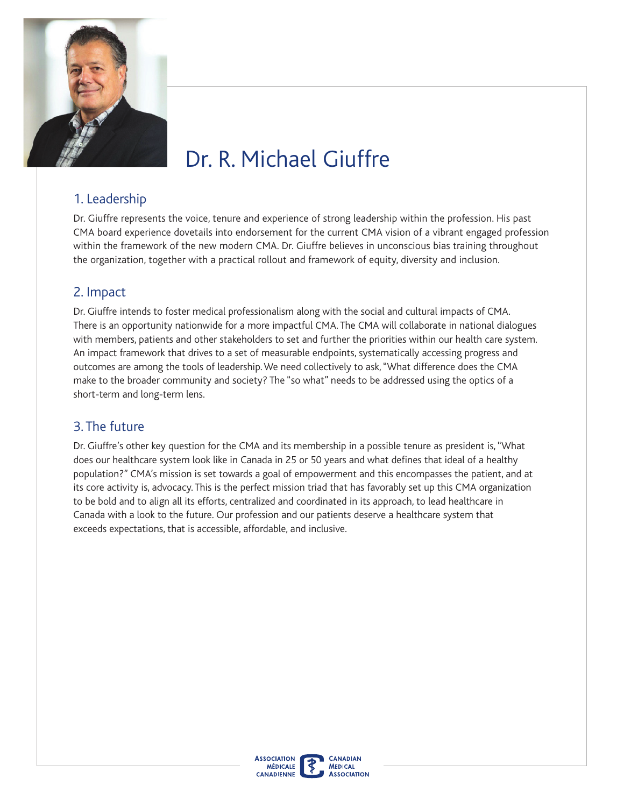

# Dr. R. Michael Giuffre

### 1. Leadership

Dr. Giuffre represents the voice, tenure and experience of strong leadership within the profession. His past CMA board experience dovetails into endorsement for the current CMA vision of a vibrant engaged profession within the framework of the new modern CMA. Dr. Giuffre believes in unconscious bias training throughout the organization, together with a practical rollout and framework of equity, diversity and inclusion.

#### 2. Impact

Dr. Giuffre intends to foster medical professionalism along with the social and cultural impacts of CMA. with members, patients and other stakeholders to set and further the priorities within our health care system. There is an opportunity nationwide for a more impactful CMA. The CMA will collaborate in national dialogues An impact framework that drives to a set of measurable endpoints, systematically accessing progress and outcomes are among the tools of leadership. We need collectively to ask, "What difference does the CMA make to the broader community and society? The "so what" needs to be addressed using the optics of a short-term and long-term lens.

#### 3. The future

Dr. Giuffre's other key question for the CMA and its membership in a possible tenure as president is, "What does our healthcare system look like in Canada in 25 or 50 years and what defnes that ideal of a healthy population?" CMA's mission is set towards a goal of empowerment and this encompasses the patient, and at its core activity is, advocacy. This is the perfect mission triad that has favorably set up this CMA organization to be bold and to align all its efforts, centralized and coordinated in its approach, to lead healthcare in Canada with a look to the future. Our profession and our patients deserve a healthcare system that exceeds expectations, that is accessible, affordable, and inclusive.